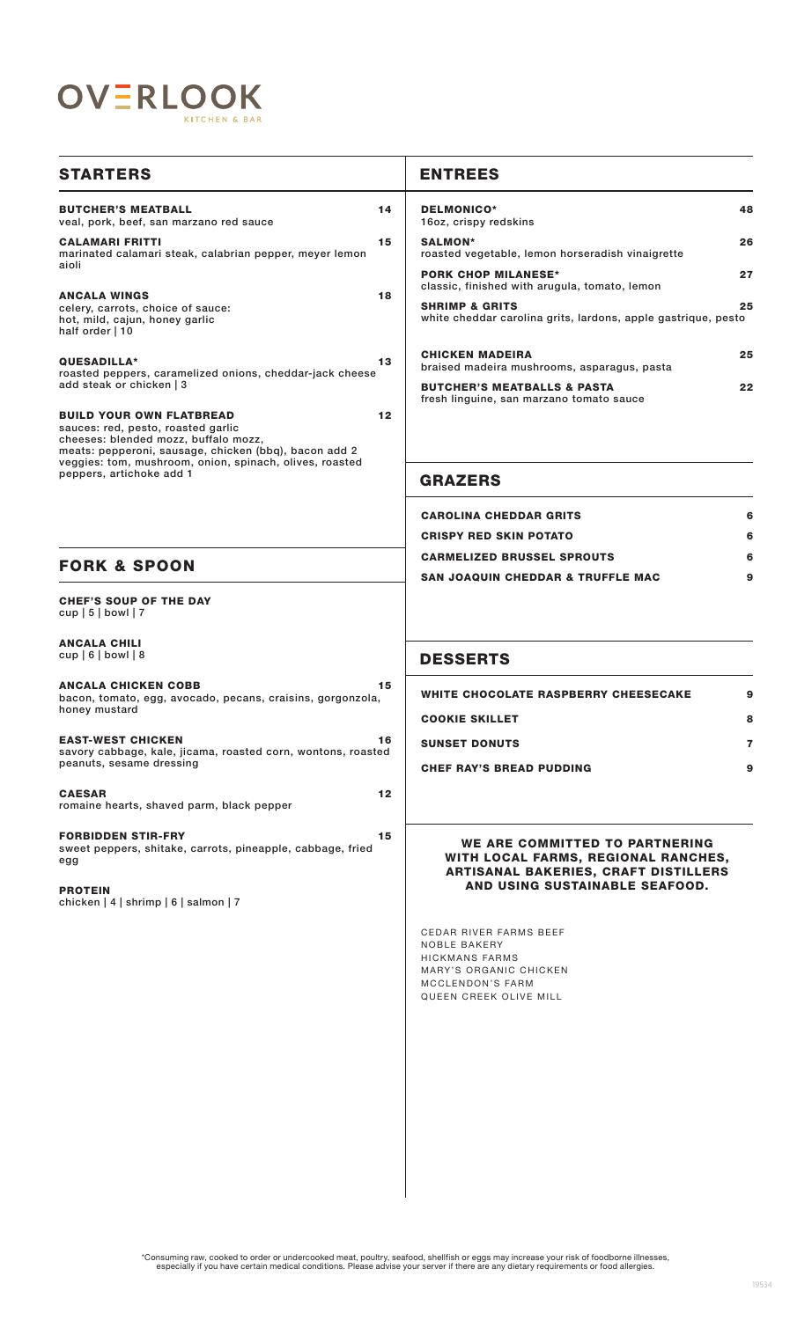

| <b>STARTERS</b>                                                                                                                                                                                                                                               |         | <b>ENTREES</b>                                                                                                                                 |
|---------------------------------------------------------------------------------------------------------------------------------------------------------------------------------------------------------------------------------------------------------------|---------|------------------------------------------------------------------------------------------------------------------------------------------------|
| <b>BUTCHER'S MEATBALL</b><br>veal, pork, beef, san marzano red sauce                                                                                                                                                                                          | 14      | <b>DELMONICO*</b><br>48<br>16oz, crispy redskins                                                                                               |
| <b>CALAMARI FRITTI</b><br>marinated calamari steak, calabrian pepper, meyer lemon                                                                                                                                                                             | 15      | <b>SALMON*</b><br>26<br>roasted vegetable, lemon horseradish vinaigrette                                                                       |
| aioli<br><b>ANCALA WINGS</b>                                                                                                                                                                                                                                  | 18      | <b>PORK CHOP MILANESE*</b><br>27<br>classic, finished with arugula, tomato, lemon                                                              |
| celery, carrots, choice of sauce:<br>hot, mild, cajun, honey garlic<br>half order   10                                                                                                                                                                        |         | <b>SHRIMP &amp; GRITS</b><br>25<br>white cheddar carolina grits, lardons, apple gastrique, pesto                                               |
| QUESADILLA*<br>roasted peppers, caramelized onions, cheddar-jack cheese<br>add steak or chicken   3                                                                                                                                                           | 13      | <b>CHICKEN MADEIRA</b><br>25<br>braised madeira mushrooms, asparagus, pasta                                                                    |
|                                                                                                                                                                                                                                                               |         | <b>BUTCHER'S MEATBALLS &amp; PASTA</b><br>22<br>fresh linguine, san marzano tomato sauce                                                       |
| <b>BUILD YOUR OWN FLATBREAD</b><br>sauces: red, pesto, roasted garlic<br>cheeses: blended mozz, buffalo mozz,<br>meats: pepperoni, sausage, chicken (bbq), bacon add 2<br>veggies: tom, mushroom, onion, spinach, olives, roasted<br>peppers, artichoke add 1 | $12 \,$ |                                                                                                                                                |
|                                                                                                                                                                                                                                                               |         | <b>GRAZERS</b>                                                                                                                                 |
|                                                                                                                                                                                                                                                               |         | <b>CAROLINA CHEDDAR GRITS</b><br>6                                                                                                             |
|                                                                                                                                                                                                                                                               |         | <b>CRISPY RED SKIN POTATO</b><br>6                                                                                                             |
| <b>FORK &amp; SPOON</b>                                                                                                                                                                                                                                       |         | <b>CARMELIZED BRUSSEL SPROUTS</b><br>6                                                                                                         |
|                                                                                                                                                                                                                                                               |         | <b>SAN JOAQUIN CHEDDAR &amp; TRUFFLE MAC</b><br>9                                                                                              |
| <b>CHEF'S SOUP OF THE DAY</b><br>$cup   5  $ bowl $  7$                                                                                                                                                                                                       |         |                                                                                                                                                |
| <b>ANCALA CHILI</b><br>$cup   6  $ bowl $  8$                                                                                                                                                                                                                 |         | <b>DESSERTS</b>                                                                                                                                |
| <b>ANCALA CHICKEN COBB</b><br>bacon, tomato, egg, avocado, pecans, craisins, gorgonzola,<br>honey mustard                                                                                                                                                     | 15      | <b>WHITE CHOCOLATE RASPBERRY CHEESECAKE</b><br>9                                                                                               |
|                                                                                                                                                                                                                                                               |         | <b>COOKIE SKILLET</b><br>8                                                                                                                     |
| <b>EAST-WEST CHICKEN</b><br>savory cabbage, kale, jicama, roasted corn, wontons, roasted<br>peanuts, sesame dressing                                                                                                                                          | 16      | <b>SUNSET DONUTS</b><br>7                                                                                                                      |
|                                                                                                                                                                                                                                                               |         | <b>CHEF RAY'S BREAD PUDDING</b><br>9                                                                                                           |
| <b>CAESAR</b><br>romaine hearts, shaved parm, black pepper                                                                                                                                                                                                    | $12 \,$ |                                                                                                                                                |
| <b>FORBIDDEN STIR-FRY</b><br>sweet peppers, shitake, carrots, pineapple, cabbage, fried<br>egg                                                                                                                                                                | 15      | WE ARE COMMITTED TO PARTNERING<br>WITH LOCAL FARMS, REGIONAL RANCHES,<br><b>ARTISANAL BAKERIES, CRAFT DISTILLERS</b>                           |
| <b>PROTEIN</b><br>chicken   $4$   shrimp   $6$   salmon   $7$                                                                                                                                                                                                 |         | AND USING SUSTAINABLE SEAFOOD.                                                                                                                 |
|                                                                                                                                                                                                                                                               |         | <b>CEDAR RIVER FARMS BEEF</b><br><b>NOBLE BAKERY</b><br>HICKMANS FARMS<br>MARY'S ORGANIC CHICKEN<br>MCCLENDON'S FARM<br>QUEEN CREEK OLIVE MILL |